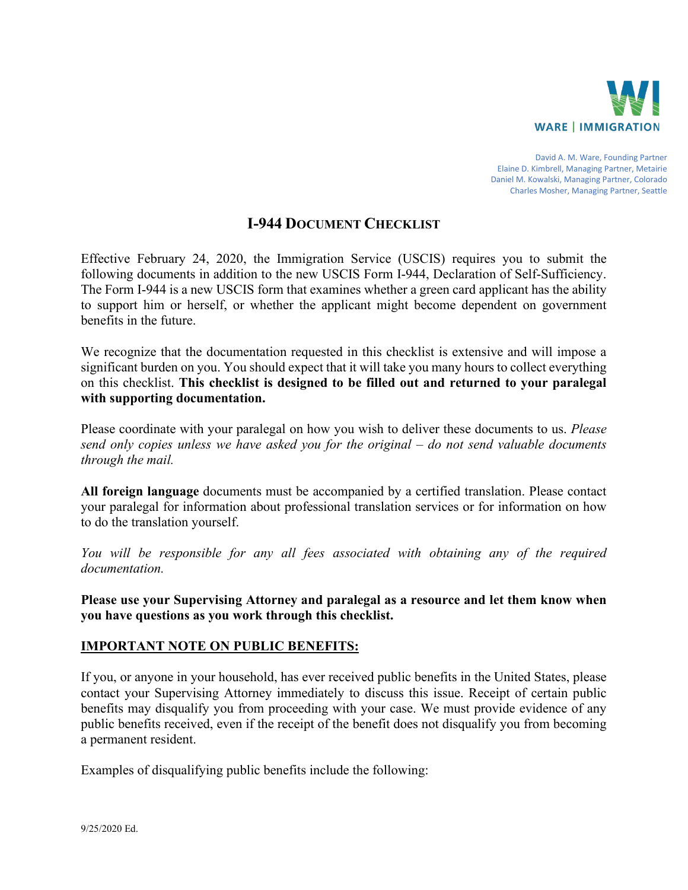

David A. M. Ware, Founding Partner Elaine D. Kimbrell, Managing Partner, Metairie Daniel M. Kowalski, Managing Partner, Colorado Charles Mosher, Managing Partner, Seattle

# **I-944 DOCUMENT CHECKLIST**

Effective February 24, 2020, the Immigration Service (USCIS) requires you to submit the following documents in addition to the new USCIS Form I-944, Declaration of Self-Sufficiency. The Form I-944 is a new USCIS form that examines whether a green card applicant has the ability to support him or herself, or whether the applicant might become dependent on government benefits in the future.

We recognize that the documentation requested in this checklist is extensive and will impose a significant burden on you. You should expect that it will take you many hours to collect everything on this checklist. **This checklist is designed to be filled out and returned to your paralegal with supporting documentation.** 

Please coordinate with your paralegal on how you wish to deliver these documents to us. *Please send only copies unless we have asked you for the original – do not send valuable documents through the mail.* 

**All foreign language** documents must be accompanied by a certified translation. Please contact your paralegal for information about professional translation services or for information on how to do the translation yourself.

You will be responsible for any all fees associated with obtaining any of the required *documentation.* 

**Please use your Supervising Attorney and paralegal as a resource and let them know when you have questions as you work through this checklist.**

### **IMPORTANT NOTE ON PUBLIC BENEFITS:**

If you, or anyone in your household, has ever received public benefits in the United States, please contact your Supervising Attorney immediately to discuss this issue. Receipt of certain public benefits may disqualify you from proceeding with your case. We must provide evidence of any public benefits received, even if the receipt of the benefit does not disqualify you from becoming a permanent resident.

Examples of disqualifying public benefits include the following: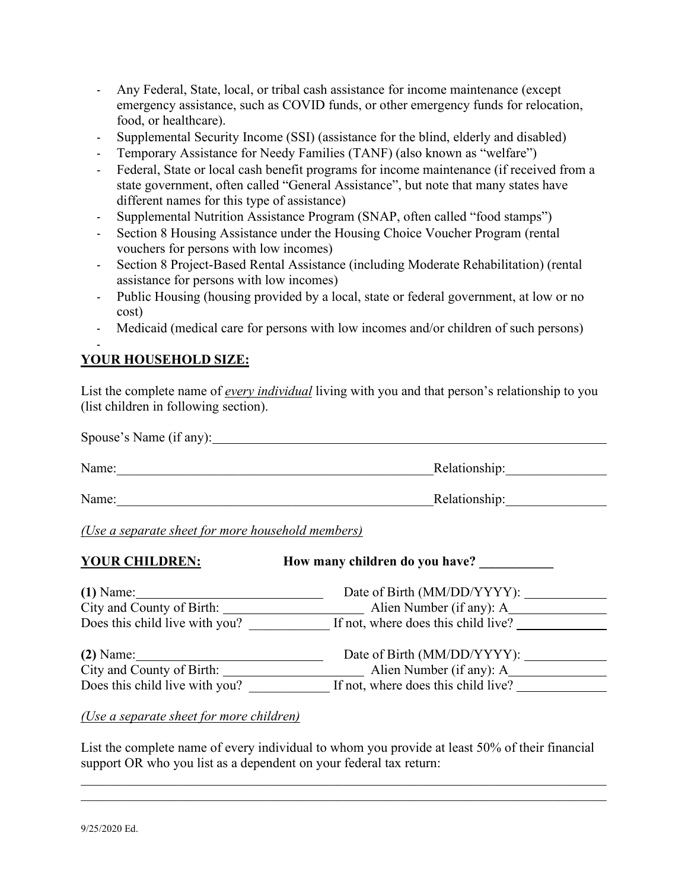- Any Federal, State, local, or tribal cash assistance for income maintenance (except emergency assistance, such as COVID funds, or other emergency funds for relocation, food, or healthcare).
- Supplemental Security Income (SSI) (assistance for the blind, elderly and disabled)
- Temporary Assistance for Needy Families (TANF) (also known as "welfare")
- Federal, State or local cash benefit programs for income maintenance (if received from a state government, often called "General Assistance", but note that many states have different names for this type of assistance)
- Supplemental Nutrition Assistance Program (SNAP, often called "food stamps")
- Section 8 Housing Assistance under the Housing Choice Voucher Program (rental vouchers for persons with low incomes)
- Section 8 Project-Based Rental Assistance (including Moderate Rehabilitation) (rental assistance for persons with low incomes)
- Public Housing (housing provided by a local, state or federal government, at low or no cost)
- Medicaid (medical care for persons with low incomes and/or children of such persons)

### - **YOUR HOUSEHOLD SIZE:**

List the complete name of *every individual* living with you and that person's relationship to you (list children in following section).

| Spouse's Name (if any): |               |
|-------------------------|---------------|
| Name:                   | Relationship: |
| Name:                   | Relationship: |

*(Use a separate sheet for more household members)*

| <b>YOUR CHILDREN:</b>          | How many children do you have?      |  |
|--------------------------------|-------------------------------------|--|
| $(1)$ Name:                    |                                     |  |
| City and County of Birth:      | _ Alien Number (if any): A_         |  |
| Does this child live with you? | If not, where does this child live? |  |
| $(2)$ Name:                    | Date of Birth (MM/DD/YYYY):         |  |
| City and County of Birth:      | Alien Number (if any): A_____       |  |
| Does this child live with you? | If not, where does this child live? |  |

*(Use a separate sheet for more children)*

List the complete name of every individual to whom you provide at least 50% of their financial support OR who you list as a dependent on your federal tax return:

\_\_\_\_\_\_\_\_\_\_\_\_\_\_\_\_\_\_\_\_\_\_\_\_\_\_\_\_\_\_\_\_\_\_\_\_\_\_\_\_\_\_\_\_\_\_\_\_\_\_\_\_\_\_\_\_\_\_\_\_\_\_\_\_\_\_\_\_\_\_\_\_\_\_\_\_\_\_

9/25/2020 Ed.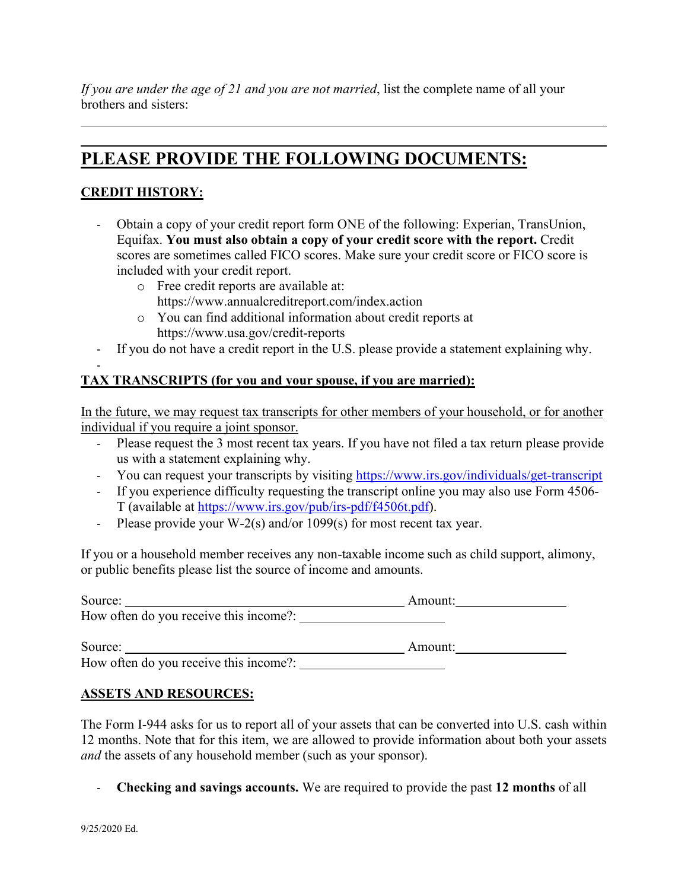*If you are under the age of 21 and you are not married*, list the complete name of all your brothers and sisters:

# **PLEASE PROVIDE THE FOLLOWING DOCUMENTS:**

# **CREDIT HISTORY:**

- Obtain a copy of your credit report form ONE of the following: Experian, TransUnion, Equifax. **You must also obtain a copy of your credit score with the report.** Credit scores are sometimes called FICO scores. Make sure your credit score or FICO score is included with your credit report.
	- o Free credit reports are available at: <https://www.annualcreditreport.com/index.action>
	- o You can find additional information about credit reports at <https://www.usa.gov/credit-reports>
- If you do not have a credit report in the U.S. please provide a statement explaining why.

#### - **TAX TRANSCRIPTS (for you and your spouse, if you are married):**

In the future, we may request tax transcripts for other members of your household, or for another individual if you require a joint sponsor.

- Please request the 3 most recent tax years. If you have not filed a tax return please provide us with a statement explaining why.
- You can request your transcripts by visiting<https://www.irs.gov/individuals/get-transcript>
- If you experience difficulty requesting the transcript online you may also use Form 4506- T (available at [https://www.irs.gov/pub/irs-pdf/f4506t.pdf\)](https://www.irs.gov/pub/irs-pdf/f4506t.pdf).
- Please provide your W-2(s) and/or 1099(s) for most recent tax year.

If you or a household member receives any non-taxable income such as child support, alimony, or public benefits please list the source of income and amounts.

| Source:                                | Amount: |  |
|----------------------------------------|---------|--|
| How often do you receive this income?: |         |  |
| Source:                                | Amount: |  |
| How often do you receive this income?: |         |  |

### **ASSETS AND RESOURCES:**

The Form I-944 asks for us to report all of your assets that can be converted into U.S. cash within 12 months. Note that for this item, we are allowed to provide information about both your assets *and* the assets of any household member (such as your sponsor).

- **Checking and savings accounts.** We are required to provide the past **12 months** of all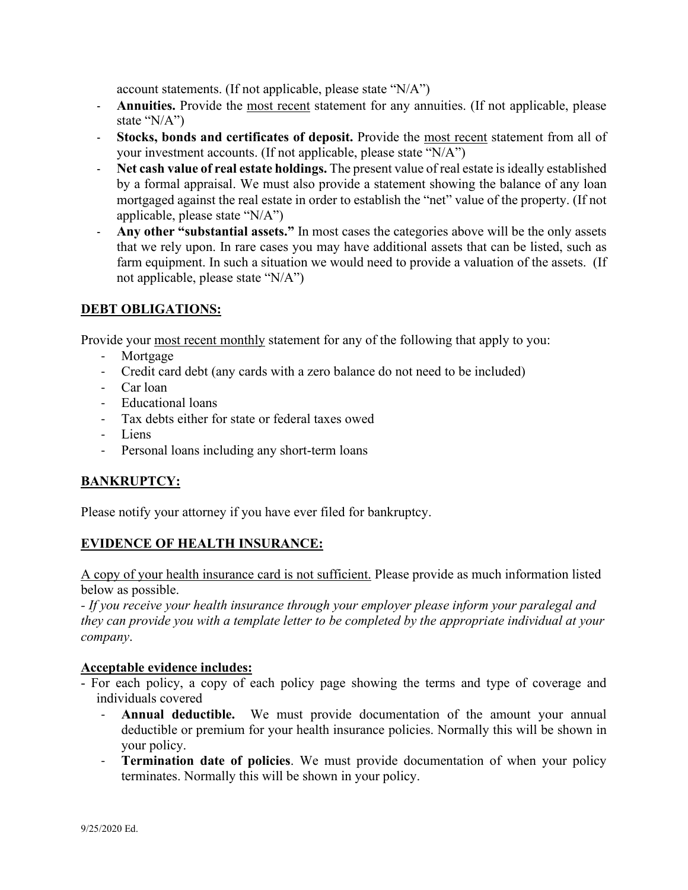account statements. (If not applicable, please state "N/A")

- **Annuities.** Provide the most recent statement for any annuities. (If not applicable, please state "N/A")
- **Stocks, bonds and certificates of deposit.** Provide the most recent statement from all of your investment accounts. (If not applicable, please state "N/A")
- **Net cash value of real estate holdings.** The present value of real estate is ideally established by a formal appraisal. We must also provide a statement showing the balance of any loan mortgaged against the real estate in order to establish the "net" value of the property. (If not applicable, please state "N/A")
- **Any other "substantial assets."** In most cases the categories above will be the only assets that we rely upon. In rare cases you may have additional assets that can be listed, such as farm equipment. In such a situation we would need to provide a valuation of the assets. (If not applicable, please state "N/A")

## **DEBT OBLIGATIONS:**

Provide your most recent monthly statement for any of the following that apply to you:

- Mortgage
- Credit card debt (any cards with a zero balance do not need to be included)
- Car loan
- Educational loans
- Tax debts either for state or federal taxes owed
- Liens
- Personal loans including any short-term loans

# **BANKRUPTCY:**

Please notify your attorney if you have ever filed for bankruptcy.

### **EVIDENCE OF HEALTH INSURANCE:**

A copy of your health insurance card is not sufficient. Please provide as much information listed below as possible.

*- If you receive your health insurance through your employer please inform your paralegal and they can provide you with a template letter to be completed by the appropriate individual at your company*.

### **Acceptable evidence includes:**

- For each policy, a copy of each policy page showing the terms and type of coverage and individuals covered
	- **Annual deductible.** We must provide documentation of the amount your annual deductible or premium for your health insurance policies. Normally this will be shown in your policy.
	- **Termination date of policies**. We must provide documentation of when your policy terminates. Normally this will be shown in your policy.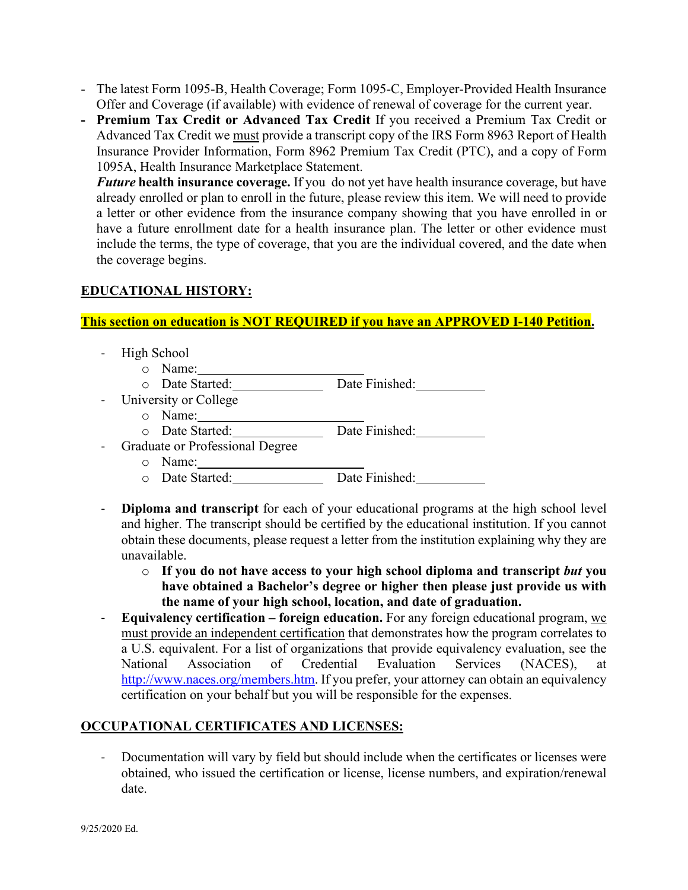- The latest Form 1095-B, Health Coverage; Form 1095-C, Employer-Provided Health Insurance Offer and Coverage (if available) with evidence of renewal of coverage for the current year.
- **- Premium Tax Credit or Advanced Tax Credit** If you received a Premium Tax Credit or Advanced Tax Credit we must provide a transcript copy of the IRS Form 8963 Report of Health Insurance Provider Information, Form 8962 Premium Tax Credit (PTC), and a copy of Form 1095A, Health Insurance Marketplace Statement.

*Future* **health insurance coverage.** If you do not yet have health insurance coverage, but have already enrolled or plan to enroll in the future, please review this item. We will need to provide a letter or other evidence from the insurance company showing that you have enrolled in or have a future enrollment date for a health insurance plan. The letter or other evidence must include the terms, the type of coverage, that you are the individual covered, and the date when the coverage begins.

# **EDUCATIONAL HISTORY:**

### **This section on education is NOT REQUIRED if you have an APPROVED I-140 Petition.**

- High School
	- o Name:
	- o Date Started: Date Finished:
- University or College
	- o Name:
	- o Date Started: Date Finished:
- Graduate or Professional Degree
	- o Name:
	- o Date Started: Date Finished:
- **Diploma and transcript** for each of your educational programs at the high school level and higher. The transcript should be certified by the educational institution. If you cannot obtain these documents, please request a letter from the institution explaining why they are unavailable.
	- o **If you do not have access to your high school diploma and transcript** *but* **you have obtained a Bachelor's degree or higher then please just provide us with the name of your high school, location, and date of graduation.**
- **Equivalency certification – foreign education.** For any foreign educational program, we must provide an independent certification that demonstrates how the program correlates to a U.S. equivalent. For a list of organizations that provide equivalency evaluation, see the National Association of Credential Evaluation Services (NACES), at [http://www.naces.org/members.htm.](http://www.naces.org/members.htm) If you prefer, your attorney can obtain an equivalency certification on your behalf but you will be responsible for the expenses.

### **OCCUPATIONAL CERTIFICATES AND LICENSES:**

Documentation will vary by field but should include when the certificates or licenses were obtained, who issued the certification or license, license numbers, and expiration/renewal date.